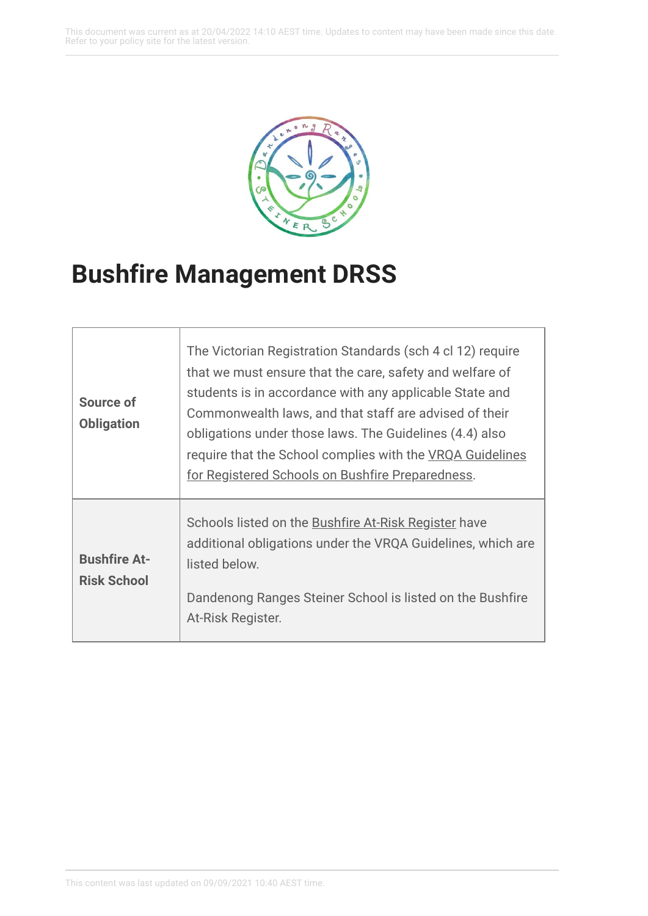This document was current as at 20/04/2022 14:10 AEST time. Updates to content may have been made since this date. Refer to your policy site for the latest version.



## **Bushfire Management DRSS**

| Source of<br><b>Obligation</b>            | The Victorian Registration Standards (sch 4 cl 12) require<br>that we must ensure that the care, safety and welfare of<br>students is in accordance with any applicable State and<br>Commonwealth laws, and that staff are advised of their<br>obligations under those laws. The Guidelines (4.4) also<br>require that the School complies with the VRQA Guidelines<br>for Registered Schools on Bushfire Preparedness. |
|-------------------------------------------|-------------------------------------------------------------------------------------------------------------------------------------------------------------------------------------------------------------------------------------------------------------------------------------------------------------------------------------------------------------------------------------------------------------------------|
| <b>Bushfire At-</b><br><b>Risk School</b> | Schools listed on the <b>Bushfire At-Risk Register</b> have<br>additional obligations under the VRQA Guidelines, which are<br>listed below.<br>Dandenong Ranges Steiner School is listed on the Bushfire<br>At-Risk Register.                                                                                                                                                                                           |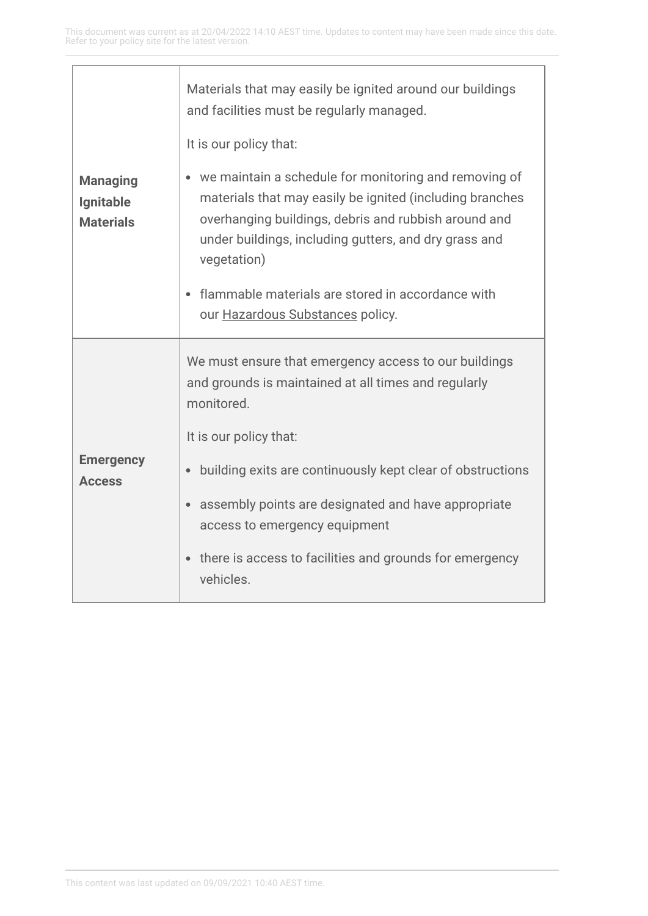| <b>Managing</b><br>Ignitable<br><b>Materials</b> | Materials that may easily be ignited around our buildings<br>and facilities must be regularly managed.<br>It is our policy that:                                                                                                                               |
|--------------------------------------------------|----------------------------------------------------------------------------------------------------------------------------------------------------------------------------------------------------------------------------------------------------------------|
|                                                  | we maintain a schedule for monitoring and removing of<br>$\bullet$<br>materials that may easily be ignited (including branches<br>overhanging buildings, debris and rubbish around and<br>under buildings, including gutters, and dry grass and<br>vegetation) |
|                                                  | flammable materials are stored in accordance with<br>our <b>Hazardous Substances</b> policy.                                                                                                                                                                   |
| <b>Emergency</b><br><b>Access</b>                | We must ensure that emergency access to our buildings<br>and grounds is maintained at all times and regularly<br>monitored.                                                                                                                                    |
|                                                  | It is our policy that:                                                                                                                                                                                                                                         |
|                                                  | building exits are continuously kept clear of obstructions<br>$\bullet$                                                                                                                                                                                        |
|                                                  | assembly points are designated and have appropriate<br>$\bullet$<br>access to emergency equipment                                                                                                                                                              |
|                                                  | there is access to facilities and grounds for emergency<br>$\bullet$<br>vehicles.                                                                                                                                                                              |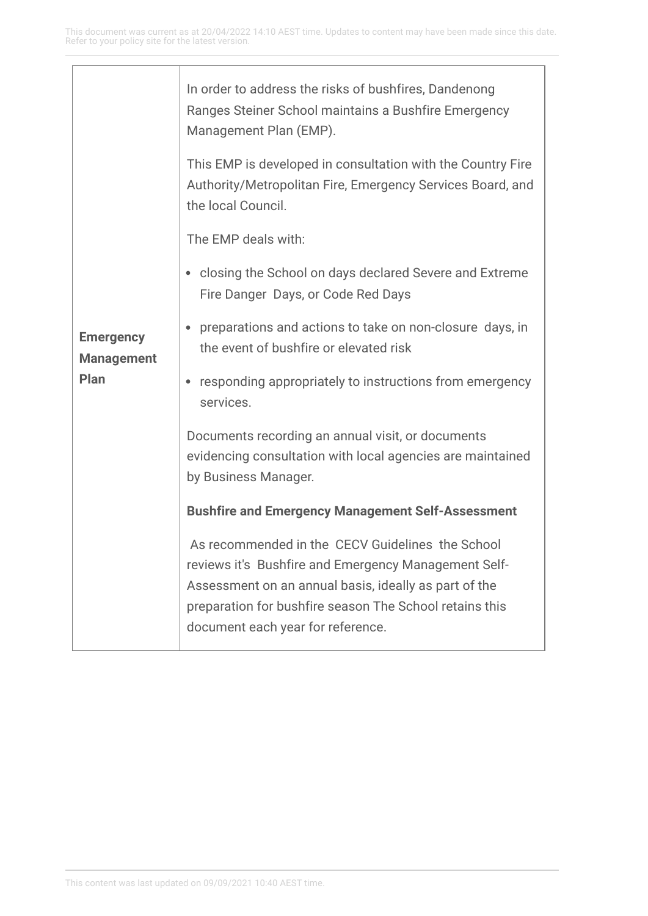| <b>Emergency</b><br><b>Management</b><br>Plan | In order to address the risks of bushfires, Dandenong<br>Ranges Steiner School maintains a Bushfire Emergency<br>Management Plan (EMP).                                                                                                                           |
|-----------------------------------------------|-------------------------------------------------------------------------------------------------------------------------------------------------------------------------------------------------------------------------------------------------------------------|
|                                               | This EMP is developed in consultation with the Country Fire<br>Authority/Metropolitan Fire, Emergency Services Board, and<br>the local Council.                                                                                                                   |
|                                               | The EMP deals with:                                                                                                                                                                                                                                               |
|                                               | • closing the School on days declared Severe and Extreme<br>Fire Danger Days, or Code Red Days                                                                                                                                                                    |
|                                               | preparations and actions to take on non-closure days, in<br>$\bullet$<br>the event of bushfire or elevated risk                                                                                                                                                   |
|                                               | responding appropriately to instructions from emergency<br>$\bullet$<br>services.                                                                                                                                                                                 |
|                                               | Documents recording an annual visit, or documents<br>evidencing consultation with local agencies are maintained<br>by Business Manager.                                                                                                                           |
|                                               | <b>Bushfire and Emergency Management Self-Assessment</b>                                                                                                                                                                                                          |
|                                               | As recommended in the CECV Guidelines the School<br>reviews it's Bushfire and Emergency Management Self-<br>Assessment on an annual basis, ideally as part of the<br>preparation for bushfire season The School retains this<br>document each year for reference. |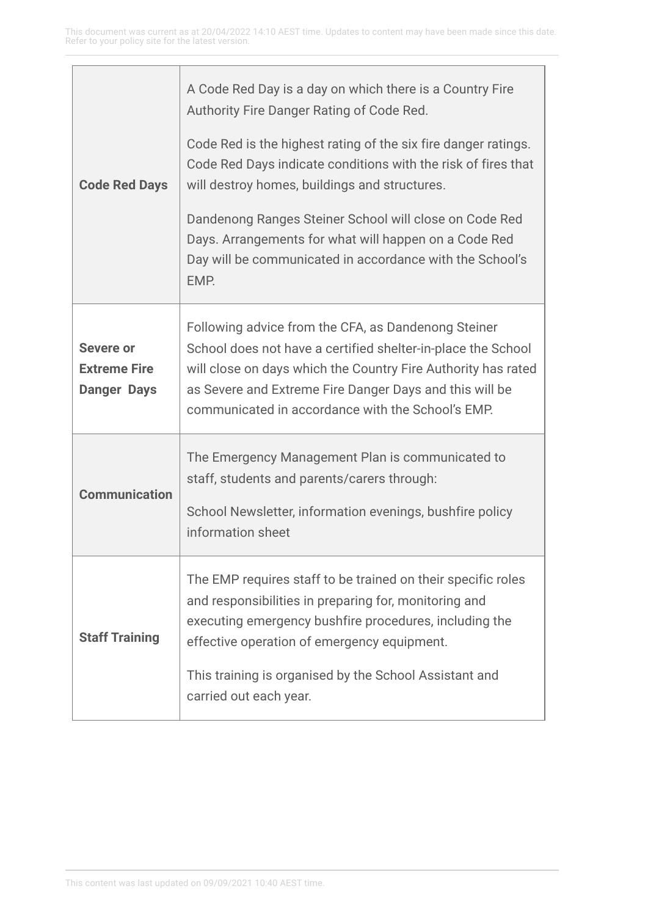| <b>Code Red Days</b>                                          | A Code Red Day is a day on which there is a Country Fire<br>Authority Fire Danger Rating of Code Red.<br>Code Red is the highest rating of the six fire danger ratings.<br>Code Red Days indicate conditions with the risk of fires that<br>will destroy homes, buildings and structures.<br>Dandenong Ranges Steiner School will close on Code Red<br>Days. Arrangements for what will happen on a Code Red<br>Day will be communicated in accordance with the School's<br>EMP. |
|---------------------------------------------------------------|----------------------------------------------------------------------------------------------------------------------------------------------------------------------------------------------------------------------------------------------------------------------------------------------------------------------------------------------------------------------------------------------------------------------------------------------------------------------------------|
| <b>Severe or</b><br><b>Extreme Fire</b><br><b>Danger Days</b> | Following advice from the CFA, as Dandenong Steiner<br>School does not have a certified shelter-in-place the School<br>will close on days which the Country Fire Authority has rated<br>as Severe and Extreme Fire Danger Days and this will be<br>communicated in accordance with the School's EMP.                                                                                                                                                                             |
| <b>Communication</b>                                          | The Emergency Management Plan is communicated to<br>staff, students and parents/carers through:<br>School Newsletter, information evenings, bushfire policy<br>information sheet                                                                                                                                                                                                                                                                                                 |
| <b>Staff Training</b>                                         | The EMP requires staff to be trained on their specific roles<br>and responsibilities in preparing for, monitoring and<br>executing emergency bushfire procedures, including the<br>effective operation of emergency equipment.<br>This training is organised by the School Assistant and<br>carried out each year.                                                                                                                                                               |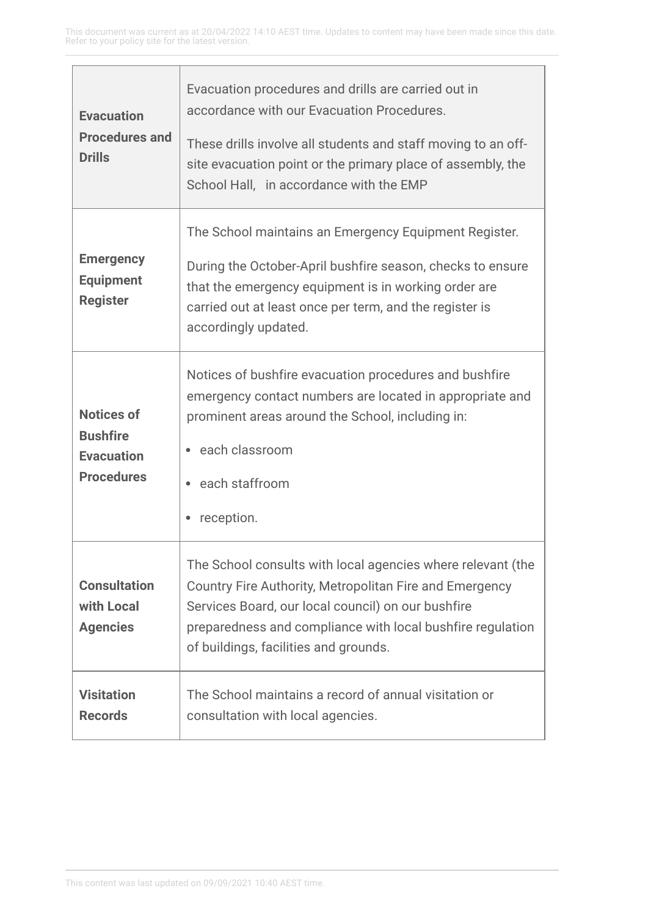| <b>Evacuation</b><br><b>Procedures and</b><br><b>Drills</b>                    | Evacuation procedures and drills are carried out in<br>accordance with our Evacuation Procedures.<br>These drills involve all students and staff moving to an off-<br>site evacuation point or the primary place of assembly, the<br>School Hall, in accordance with the EMP        |
|--------------------------------------------------------------------------------|-------------------------------------------------------------------------------------------------------------------------------------------------------------------------------------------------------------------------------------------------------------------------------------|
| <b>Emergency</b><br><b>Equipment</b><br><b>Register</b>                        | The School maintains an Emergency Equipment Register.<br>During the October-April bushfire season, checks to ensure<br>that the emergency equipment is in working order are<br>carried out at least once per term, and the register is<br>accordingly updated.                      |
| <b>Notices of</b><br><b>Bushfire</b><br><b>Evacuation</b><br><b>Procedures</b> | Notices of bushfire evacuation procedures and bushfire<br>emergency contact numbers are located in appropriate and<br>prominent areas around the School, including in:<br>• each classroom<br>each staffroom<br>reception.                                                          |
| <b>Consultation</b><br>with Local<br><b>Agencies</b>                           | The School consults with local agencies where relevant (the<br>Country Fire Authority, Metropolitan Fire and Emergency<br>Services Board, our local council) on our bushfire<br>preparedness and compliance with local bushfire regulation<br>of buildings, facilities and grounds. |
| <b>Visitation</b><br><b>Records</b>                                            | The School maintains a record of annual visitation or<br>consultation with local agencies.                                                                                                                                                                                          |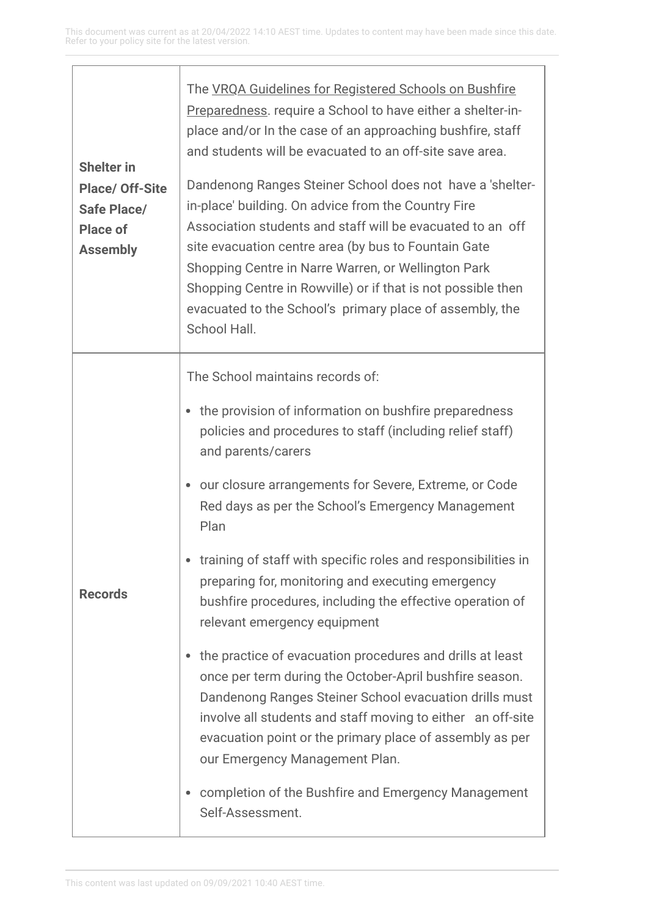| <b>Shelter in</b><br><b>Place/ Off-Site</b><br>Safe Place/<br><b>Place of</b><br><b>Assembly</b> | The VRQA Guidelines for Registered Schools on Bushfire<br>Preparedness. require a School to have either a shelter-in-<br>place and/or In the case of an approaching bushfire, staff<br>and students will be evacuated to an off-site save area.<br>Dandenong Ranges Steiner School does not have a 'shelter-<br>in-place' building. On advice from the Country Fire<br>Association students and staff will be evacuated to an off<br>site evacuation centre area (by bus to Fountain Gate<br>Shopping Centre in Narre Warren, or Wellington Park<br>Shopping Centre in Rowville) or if that is not possible then<br>evacuated to the School's primary place of assembly, the<br>School Hall.                                                                                                                                                                              |
|--------------------------------------------------------------------------------------------------|---------------------------------------------------------------------------------------------------------------------------------------------------------------------------------------------------------------------------------------------------------------------------------------------------------------------------------------------------------------------------------------------------------------------------------------------------------------------------------------------------------------------------------------------------------------------------------------------------------------------------------------------------------------------------------------------------------------------------------------------------------------------------------------------------------------------------------------------------------------------------|
| <b>Records</b>                                                                                   | The School maintains records of:<br>the provision of information on bushfire preparedness<br>policies and procedures to staff (including relief staff)<br>and parents/carers<br>our closure arrangements for Severe, Extreme, or Code<br>۰<br>Red days as per the School's Emergency Management<br>Plan<br>training of staff with specific roles and responsibilities in<br>preparing for, monitoring and executing emergency<br>bushfire procedures, including the effective operation of<br>relevant emergency equipment<br>the practice of evacuation procedures and drills at least<br>once per term during the October-April bushfire season.<br>Dandenong Ranges Steiner School evacuation drills must<br>involve all students and staff moving to either an off-site<br>evacuation point or the primary place of assembly as per<br>our Emergency Management Plan. |
|                                                                                                  | completion of the Bushfire and Emergency Management<br>۰<br>Self-Assessment.                                                                                                                                                                                                                                                                                                                                                                                                                                                                                                                                                                                                                                                                                                                                                                                              |